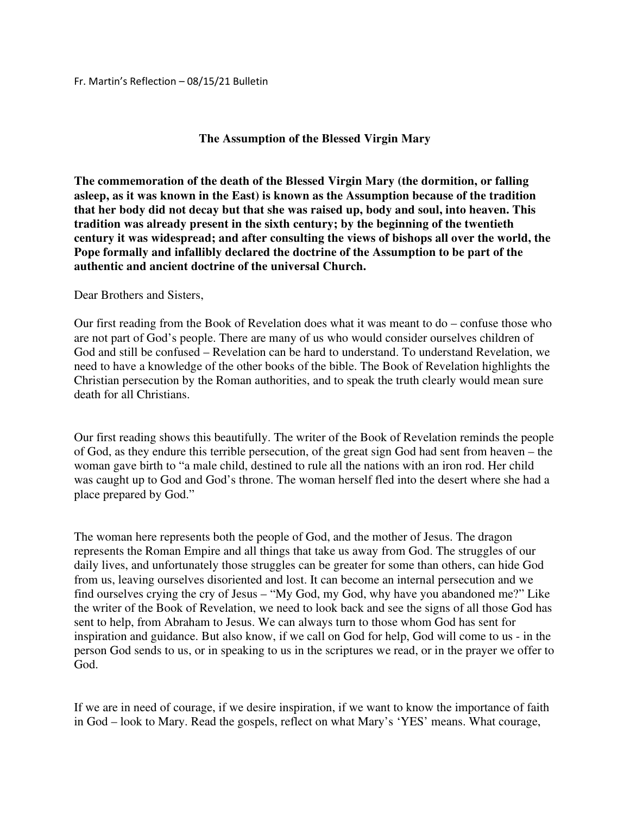## Fr. Martin's Reflection – 08/15/21 Bulletin

## **The Assumption of the Blessed Virgin Mary**

**The commemoration of the death of the Blessed Virgin Mary (the dormition, or falling asleep, as it was known in the East) is known as the Assumption because of the tradition that her body did not decay but that she was raised up, body and soul, into heaven. This tradition was already present in the sixth century; by the beginning of the twentieth century it was widespread; and after consulting the views of bishops all over the world, the Pope formally and infallibly declared the doctrine of the Assumption to be part of the authentic and ancient doctrine of the universal Church.** 

## Dear Brothers and Sisters,

Our first reading from the Book of Revelation does what it was meant to do – confuse those who are not part of God's people. There are many of us who would consider ourselves children of God and still be confused – Revelation can be hard to understand. To understand Revelation, we need to have a knowledge of the other books of the bible. The Book of Revelation highlights the Christian persecution by the Roman authorities, and to speak the truth clearly would mean sure death for all Christians.

Our first reading shows this beautifully. The writer of the Book of Revelation reminds the people of God, as they endure this terrible persecution, of the great sign God had sent from heaven – the woman gave birth to "a male child, destined to rule all the nations with an iron rod. Her child was caught up to God and God's throne. The woman herself fled into the desert where she had a place prepared by God."

The woman here represents both the people of God, and the mother of Jesus. The dragon represents the Roman Empire and all things that take us away from God. The struggles of our daily lives, and unfortunately those struggles can be greater for some than others, can hide God from us, leaving ourselves disoriented and lost. It can become an internal persecution and we find ourselves crying the cry of Jesus – "My God, my God, why have you abandoned me?" Like the writer of the Book of Revelation, we need to look back and see the signs of all those God has sent to help, from Abraham to Jesus. We can always turn to those whom God has sent for inspiration and guidance. But also know, if we call on God for help, God will come to us - in the person God sends to us, or in speaking to us in the scriptures we read, or in the prayer we offer to God.

If we are in need of courage, if we desire inspiration, if we want to know the importance of faith in God – look to Mary. Read the gospels, reflect on what Mary's 'YES' means. What courage,